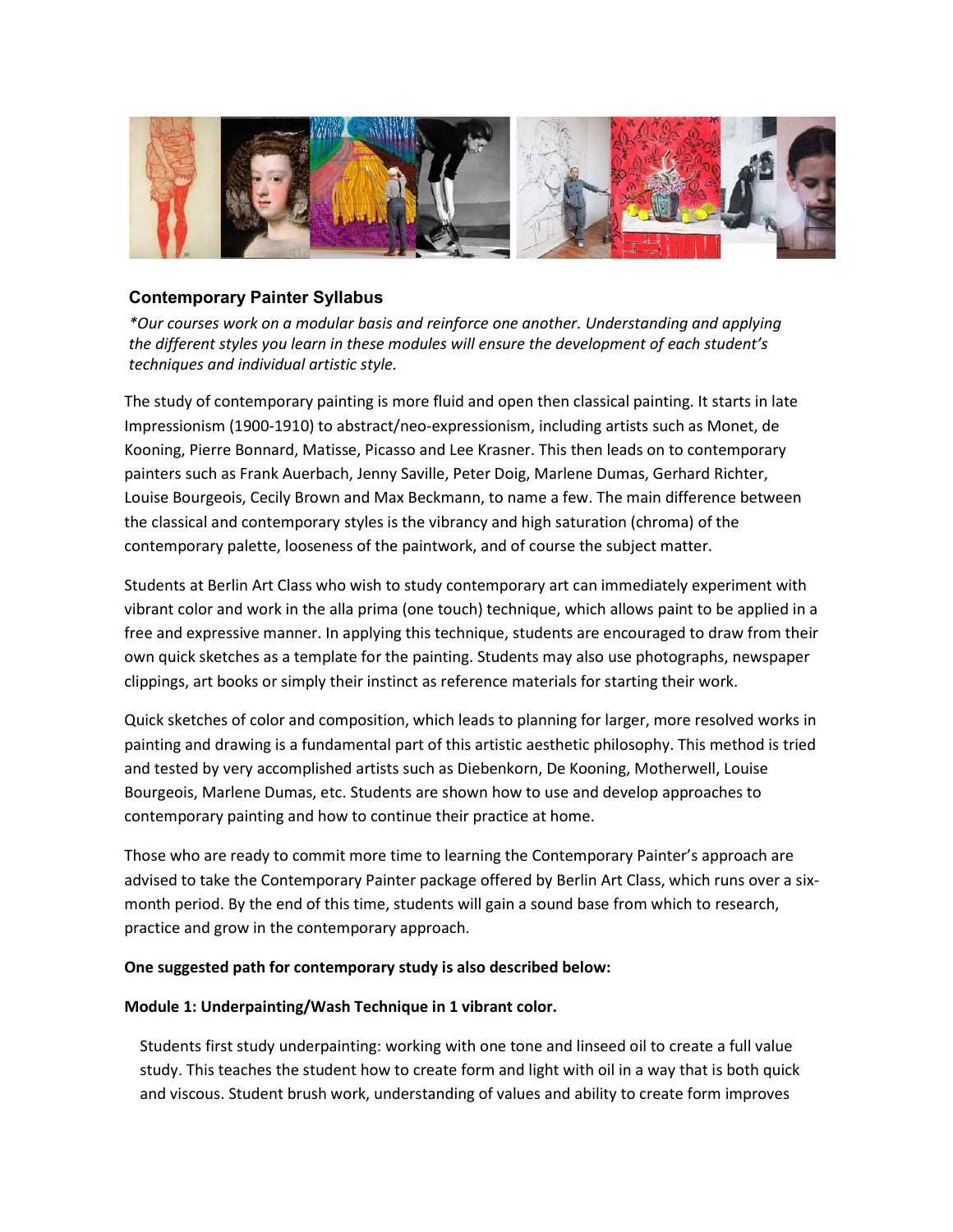

# Contemporary Painter Syllabus

\*Our courses work on a modular basis and reinforce one another. Understanding and applying the different styles you learn in these modules will ensure the development of each student's techniques and individual artistic style.

The study of contemporary painting is more fluid and open then classical painting. It starts in late Impressionism (1900-1910) to abstract/neo-expressionism, including artists such as Monet, de Kooning, Pierre Bonnard, Matisse, Picasso and Lee Krasner. This then leads on to contemporary painters such as Frank Auerbach, Jenny Saville, Peter Doig, Marlene Dumas, Gerhard Richter, Louise Bourgeois, Cecily Brown and Max Beckmann, to name a few. The main difference between the classical and contemporary styles is the vibrancy and high saturation (chroma) of the contemporary palette, looseness of the paintwork, and of course the subject matter.

Students at Berlin Art Class who wish to study contemporary art can immediately experiment with vibrant color and work in the alla prima (one touch) technique, which allows paint to be applied in a free and expressive manner. In applying this technique, students are encouraged to draw from their own quick sketches as a template for the painting. Students may also use photographs, newspaper clippings, art books or simply their instinct as reference materials for starting their work.

Quick sketches of color and composition, which leads to planning for larger, more resolved works in painting and drawing is a fundamental part of this artistic aesthetic philosophy. This method is tried and tested by very accomplished artists such as Diebenkorn, De Kooning, Motherwell, Louise Bourgeois, Marlene Dumas, etc. Students are shown how to use and develop approaches to contemporary painting and how to continue their practice at home.

Those who are ready to commit more time to learning the Contemporary Painter's approach are advised to take the Contemporary Painter package offered by Berlin Art Class, which runs over a sixmonth period. By the end of this time, students will gain a sound base from which to research, practice and grow in the contemporary approach.

#### One suggested path for contemporary study is also described below:

#### Module 1: Underpainting/Wash Technique in 1 vibrant color.

Students first study underpainting: working with one tone and linseed oil to create a full value study. This teaches the student how to create form and light with oil in a way that is both quick and viscous. Student brush work, understanding of values and ability to create form improves